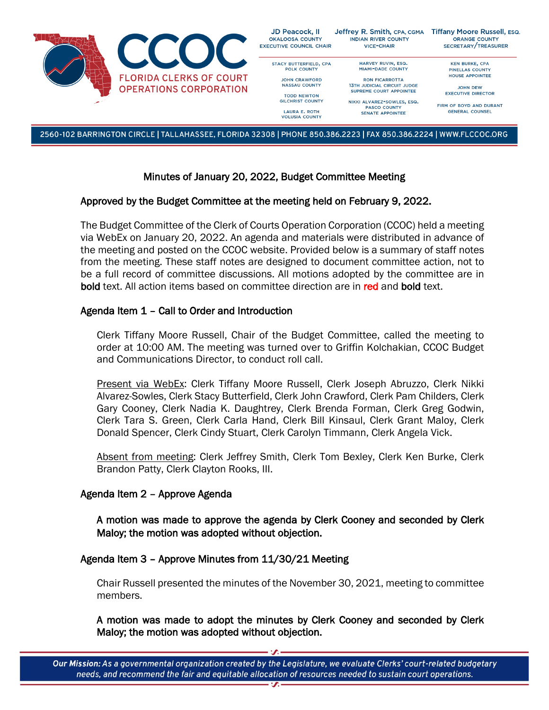

2560-102 BARRINGTON CIRCLE | TALLAHASSEE, FLORIDA 32308 | PHONE 850.386.2223 | FAX 850.386.2224 | WWW.FLCCOC.ORG

# Minutes of January 20, 2022, Budget Committee Meeting

#### Approved by the Budget Committee at the meeting held on February 9, 2022.

The Budget Committee of the Clerk of Courts Operation Corporation (CCOC) held a meeting via WebEx on January 20, 2022. An agenda and materials were distributed in advance of the meeting and posted on the CCOC website. Provided below is a summary of staff notes from the meeting. These staff notes are designed to document committee action, not to be a full record of committee discussions. All motions adopted by the committee are in bold text. All action items based on committee direction are in red and bold text.

## Agenda Item 1 – Call to Order and Introduction

Clerk Tiffany Moore Russell, Chair of the Budget Committee, called the meeting to order at 10:00 AM. The meeting was turned over to Griffin Kolchakian, CCOC Budget and Communications Director, to conduct roll call.

Present via WebEx: Clerk Tiffany Moore Russell, Clerk Joseph Abruzzo, Clerk Nikki Alvarez-Sowles, Clerk Stacy Butterfield, Clerk John Crawford, Clerk Pam Childers, Clerk Gary Cooney, Clerk Nadia K. Daughtrey, Clerk Brenda Forman, Clerk Greg Godwin, Clerk Tara S. Green, Clerk Carla Hand, Clerk Bill Kinsaul, Clerk Grant Maloy, Clerk Donald Spencer, Clerk Cindy Stuart, Clerk Carolyn Timmann, Clerk Angela Vick.

Absent from meeting: Clerk Jeffrey Smith, Clerk Tom Bexley, Clerk Ken Burke, Clerk Brandon Patty, Clerk Clayton Rooks, III.

## Agenda Item 2 – Approve Agenda

A motion was made to approve the agenda by Clerk Cooney and seconded by Clerk Maloy; the motion was adopted without objection.

## Agenda Item 3 – Approve Minutes from 11/30/21 Meeting

Chair Russell presented the minutes of the November 30, 2021, meeting to committee members.

A motion was made to adopt the minutes by Clerk Cooney and seconded by Clerk Maloy; the motion was adopted without objection.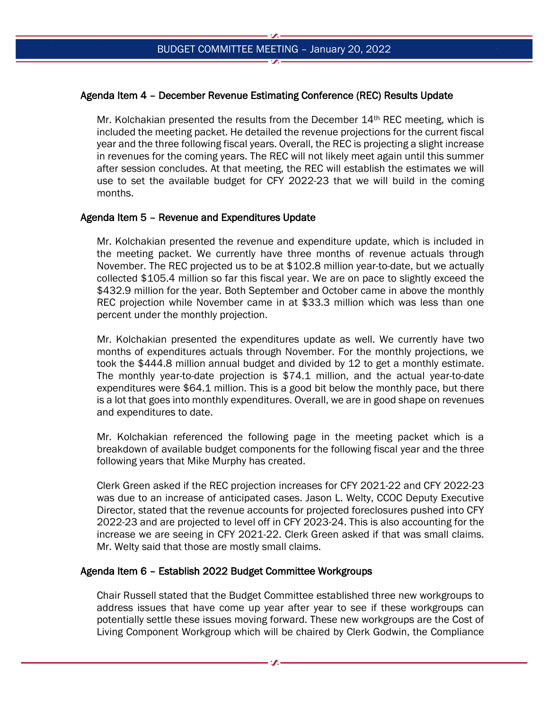# Agenda Item 4 – December Revenue Estimating Conference (REC) Results Update

Mr. Kolchakian presented the results from the December  $14<sup>th</sup>$  REC meeting, which is included the meeting packet. He detailed the revenue projections for the current fiscal year and the three following fiscal years. Overall, the REC is projecting a slight increase in revenues for the coming years. The REC will not likely meet again until this summer after session concludes. At that meeting, the REC will establish the estimates we will use to set the available budget for CFY 2022-23 that we will build in the coming months.

## Agenda Item 5 – Revenue and Expenditures Update

Mr. Kolchakian presented the revenue and expenditure update, which is included in the meeting packet. We currently have three months of revenue actuals through November. The REC projected us to be at \$102.8 million year-to-date, but we actually collected \$105.4 million so far this fiscal year. We are on pace to slightly exceed the \$432.9 million for the year. Both September and October came in above the monthly REC projection while November came in at \$33.3 million which was less than one percent under the monthly projection.

Mr. Kolchakian presented the expenditures update as well. We currently have two months of expenditures actuals through November. For the monthly projections, we took the \$444.8 million annual budget and divided by 12 to get a monthly estimate. The monthly year-to-date projection is \$74.1 million, and the actual year-to-date expenditures were \$64.1 million. This is a good bit below the monthly pace, but there is a lot that goes into monthly expenditures. Overall, we are in good shape on revenues and expenditures to date.

Mr. Kolchakian referenced the following page in the meeting packet which is a breakdown of available budget components for the following fiscal year and the three following years that Mike Murphy has created.

Clerk Green asked if the REC projection increases for CFY 2021-22 and CFY 2022-23 was due to an increase of anticipated cases. Jason L. Welty, CCOC Deputy Executive Director, stated that the revenue accounts for projected foreclosures pushed into CFY 2022-23 and are projected to level off in CFY 2023-24. This is also accounting for the increase we are seeing in CFY 2021-22. Clerk Green asked if that was small claims. Mr. Welty said that those are mostly small claims.

## Agenda Item 6 – Establish 2022 Budget Committee Workgroups

Chair Russell stated that the Budget Committee established three new workgroups to address issues that have come up year after year to see if these workgroups can potentially settle these issues moving forward. These new workgroups are the Cost of Living Component Workgroup which will be chaired by Clerk Godwin, the Compliance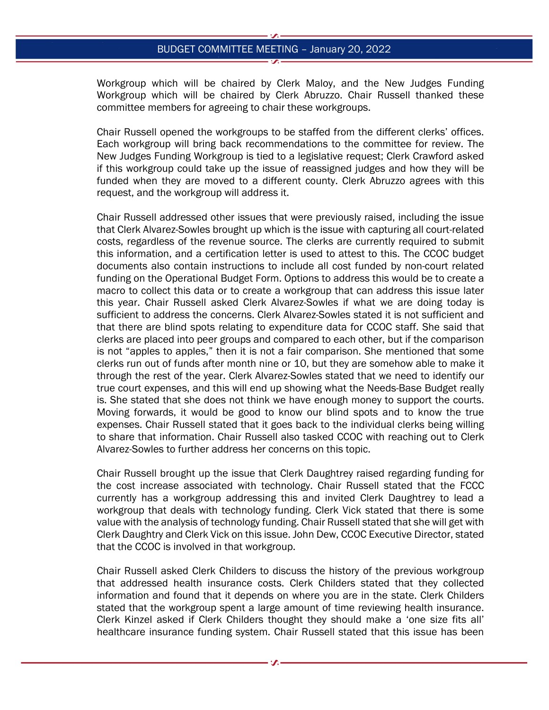#### BUDGET COMMITTEE MEETING – January 20, 2022

Workgroup which will be chaired by Clerk Maloy, and the New Judges Funding Workgroup which will be chaired by Clerk Abruzzo. Chair Russell thanked these committee members for agreeing to chair these workgroups.

Chair Russell opened the workgroups to be staffed from the different clerks' offices. Each workgroup will bring back recommendations to the committee for review. The New Judges Funding Workgroup is tied to a legislative request; Clerk Crawford asked if this workgroup could take up the issue of reassigned judges and how they will be funded when they are moved to a different county. Clerk Abruzzo agrees with this request, and the workgroup will address it.

Chair Russell addressed other issues that were previously raised, including the issue that Clerk Alvarez-Sowles brought up which is the issue with capturing all court-related costs, regardless of the revenue source. The clerks are currently required to submit this information, and a certification letter is used to attest to this. The CCOC budget documents also contain instructions to include all cost funded by non-court related funding on the Operational Budget Form. Options to address this would be to create a macro to collect this data or to create a workgroup that can address this issue later this year. Chair Russell asked Clerk Alvarez-Sowles if what we are doing today is sufficient to address the concerns. Clerk Alvarez-Sowles stated it is not sufficient and that there are blind spots relating to expenditure data for CCOC staff. She said that clerks are placed into peer groups and compared to each other, but if the comparison is not "apples to apples," then it is not a fair comparison. She mentioned that some clerks run out of funds after month nine or 10, but they are somehow able to make it through the rest of the year. Clerk Alvarez-Sowles stated that we need to identify our true court expenses, and this will end up showing what the Needs-Base Budget really is. She stated that she does not think we have enough money to support the courts. Moving forwards, it would be good to know our blind spots and to know the true expenses. Chair Russell stated that it goes back to the individual clerks being willing to share that information. Chair Russell also tasked CCOC with reaching out to Clerk Alvarez-Sowles to further address her concerns on this topic.

Chair Russell brought up the issue that Clerk Daughtrey raised regarding funding for the cost increase associated with technology. Chair Russell stated that the FCCC currently has a workgroup addressing this and invited Clerk Daughtrey to lead a workgroup that deals with technology funding. Clerk Vick stated that there is some value with the analysis of technology funding. Chair Russell stated that she will get with Clerk Daughtry and Clerk Vick on this issue. John Dew, CCOC Executive Director, stated that the CCOC is involved in that workgroup.

Chair Russell asked Clerk Childers to discuss the history of the previous workgroup that addressed health insurance costs. Clerk Childers stated that they collected information and found that it depends on where you are in the state. Clerk Childers stated that the workgroup spent a large amount of time reviewing health insurance. Clerk Kinzel asked if Clerk Childers thought they should make a 'one size fits all' healthcare insurance funding system. Chair Russell stated that this issue has been